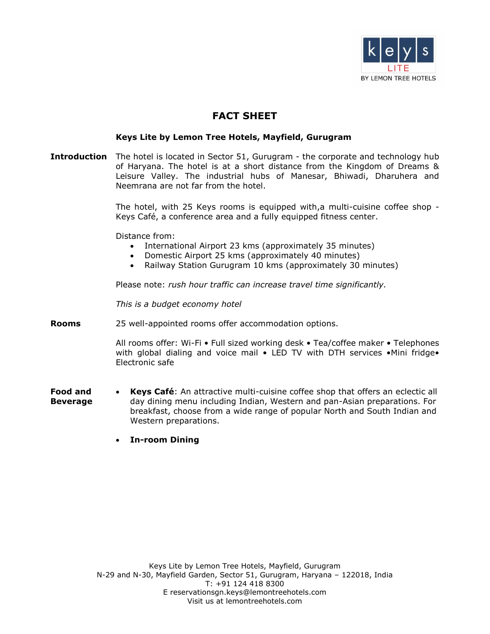

# **FACT SHEET**

## **Keys Lite by Lemon Tree Hotels, Mayfield, Gurugram**

**Introduction** The hotel is located in Sector 51, Gurugram - the corporate and technology hub of Haryana. The hotel is at a short distance from the Kingdom of Dreams & Leisure Valley. The industrial hubs of Manesar, Bhiwadi, Dharuhera and Neemrana are not far from the hotel.

> The hotel, with 25 Keys rooms is equipped with,a multi-cuisine coffee shop - Keys Café, a conference area and a fully equipped fitness center.

Distance from:

- International Airport 23 kms (approximately 35 minutes)
- Domestic Airport 25 kms (approximately 40 minutes)
- Railway Station Gurugram 10 kms (approximately 30 minutes)

Please note: *rush hour traffic can increase travel time significantly.*

*This is a budget economy hotel*

**Rooms** 25 well-appointed rooms offer accommodation options.

All rooms offer: Wi-Fi • Full sized working desk • Tea/coffee maker • Telephones with global dialing and voice mail • LED TV with DTH services •Mini fridge• Electronic safe

- **Food and Beverage Keys Café**: An attractive multi-cuisine coffee shop that offers an eclectic all day dining menu including Indian, Western and pan-Asian preparations. For breakfast, choose from a wide range of popular North and South Indian and Western preparations.
	- **In-room Dining**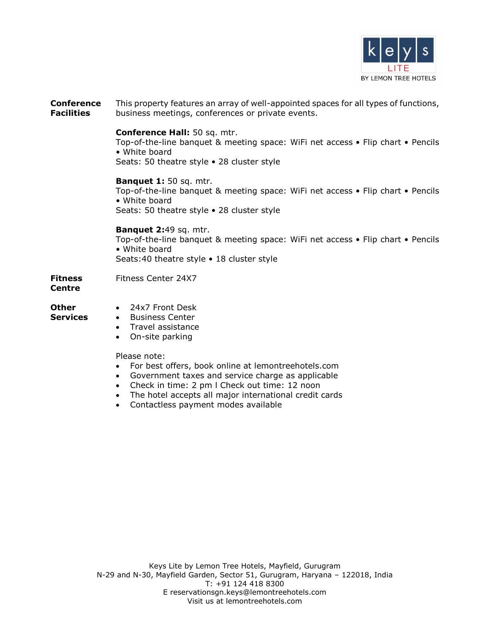

**Conference Facilities** This property features an array of well-appointed spaces for all types of functions, business meetings, conferences or private events.

### **Conference Hall:** 50 sq. mtr.

Top-of-the-line banquet & meeting space: WiFi net access • Flip chart • Pencils • White board

Seats: 50 theatre style • 28 cluster style

#### **Banquet 1:** 50 sq. mtr.

Top-of-the-line banquet & meeting space: WiFi net access • Flip chart • Pencils • White board Seats: 50 theatre style • 28 cluster style

### **Banquet 2:**49 sq. mtr.

Top-of-the-line banquet & meeting space: WiFi net access • Flip chart • Pencils • White board Seats:40 theatre style • 18 cluster style

**Fitness**  Fitness Center 24X7

# **Centre**

**Other**  24x7 Front Desk

- **Services**
- **•** Business Center Travel assistance
- On-site parking

Please note:

- For best offers, book online at lemontreehotels.com
- Government taxes and service charge as applicable
- Check in time: 2 pm l Check out time: 12 noon
- The hotel accepts all major international credit cards
- Contactless payment modes available